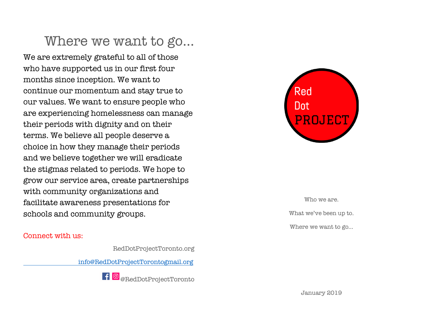## Where we want to go…

We are extremely grateful to all of those who have supported us in our first four months since inception. We want to continue our momentum and stay true to our values. We want to ensure people who are experiencing homelessness can manage their periods with dignity and on their terms. We believe all people deserve a choice in how they manage their periods and we believe together we will eradicate the stigmas related to periods. We hope to grow our service area, create partnerships with community organizations and facilitate awareness presentations for schools and community groups.

#### Connect with us:

RedDotProjectToronto.org

info@RedDotProjectTorontogmail.org





Who we are. What we've been up to. Where we want to go…

January 2019